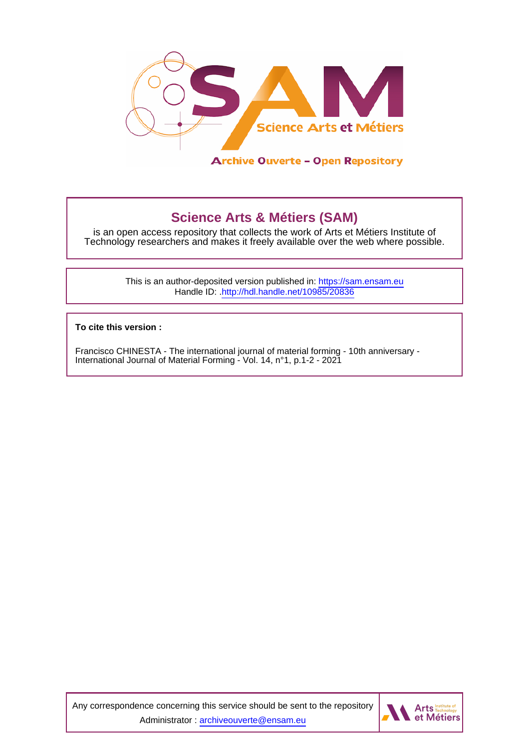

**Science Arts & Métiers (SAM)** is an open access repository that collects the work of Arts et Métiers Institute of Technology researchers and makes it freely available over the web where possible.

> This is an author-deposited version published in:<https://sam.ensam.eu> Handle ID: [.http://hdl.handle.net/10985/20836](http://hdl.handle.net/10985/20836)

**To cite this version :**

Francisco CHINESTA - The international journal of material forming - 10th anniversary - International Journal of Material Forming - Vol. 14, n°1, p.1-2 - 2021

Any correspondence concerning this service should be sent to the repository Administrator : [archiveouverte@ensam.eu](mailto:archiveouverte@ensam.eu)

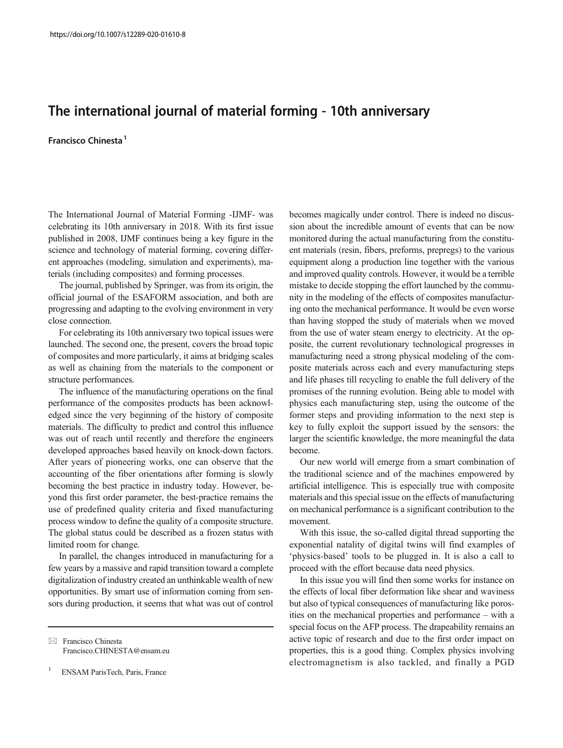## $T_{\rm eff}$  international forming  $\sim$  10th anniversary  $\sim$

## Francisco Chinesta<sup>1</sup>

The International Journal of Material Forming -IJMF- was celebrating its 10th anniversary in 2018. With its first issue published in 2008, IJMF continues being a key figure in the science and technology of material forming, covering different approaches (modeling, simulation and experiments), materials (including composites) and forming processes.

The journal, published by Springer, was from its origin, the official journal of the ESAFORM association, and both are progressing and adapting to the evolving environment in very close connection.

For celebrating its 10th anniversary two topical issues were launched. The second one, the present, covers the broad topic of composites and more particularly, it aims at bridging scales as well as chaining from the materials to the component or structure performances.

The influence of the manufacturing operations on the final performance of the composites products has been acknowledged since the very beginning of the history of composite materials. The difficulty to predict and control this influence was out of reach until recently and therefore the engineers developed approaches based heavily on knock-down factors. After years of pioneering works, one can observe that the accounting of the fiber orientations after forming is slowly becoming the best practice in industry today. However, beyond this first order parameter, the best-practice remains the use of predefined quality criteria and fixed manufacturing process window to define the quality of a composite structure. The global status could be described as a frozen status with limited room for change.

In parallel, the changes introduced in manufacturing for a few years by a massive and rapid transition toward a complete digitalization of industry created an unthinkable wealth of new opportunities. By smart use of information coming from sensors during production, it seems that what was out of control

 $\boxtimes$  Francisco Chinesta [Francisco.CHINESTA@ensam.eu](mailto:Francisco.CHINESTA@ensam.eu)

ENSAM ParisTech, Paris, France

becomes magically under control. There is indeed no discussion about the incredible amount of events that can be now monitored during the actual manufacturing from the constituent materials (resin, fibers, preforms, prepregs) to the various equipment along a production line together with the various and improved quality controls. However, it would be a terrible mistake to decide stopping the effort launched by the community in the modeling of the effects of composites manufacturing onto the mechanical performance. It would be even worse than having stopped the study of materials when we moved from the use of water steam energy to electricity. At the opposite, the current revolutionary technological progresses in manufacturing need a strong physical modeling of the composite materials across each and every manufacturing steps and life phases till recycling to enable the full delivery of the promises of the running evolution. Being able to model with physics each manufacturing step, using the outcome of the former steps and providing information to the next step is key to fully exploit the support issued by the sensors: the larger the scientific knowledge, the more meaningful the data become.

Our new world will emerge from a smart combination of the traditional science and of the machines empowered by artificial intelligence. This is especially true with composite materials and this special issue on the effects of manufacturing on mechanical performance is a significant contribution to the movement.

With this issue, the so-called digital thread supporting the exponential natality of digital twins will find examples of 'physics-based' tools to be plugged in. It is also a call to proceed with the effort because data need physics.

In this issue you will find then some works for instance on the effects of local fiber deformation like shear and waviness but also of typical consequences of manufacturing like porosities on the mechanical properties and performance – with a special focus on the AFP process. The drapeability remains an active topic of research and due to the first order impact on properties, this is a good thing. Complex physics involving electromagnetism is also tackled, and finally a PGD